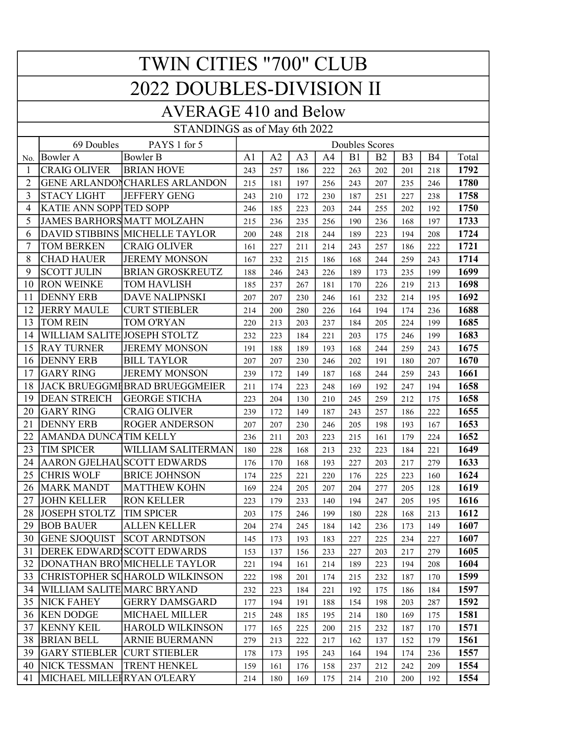| <b>TWIN CITIES "700" CLUB</b>   |                                                     |                                       |                |            |                |            |            |            |                |            |              |
|---------------------------------|-----------------------------------------------------|---------------------------------------|----------------|------------|----------------|------------|------------|------------|----------------|------------|--------------|
| <b>2022 DOUBLES-DIVISION II</b> |                                                     |                                       |                |            |                |            |            |            |                |            |              |
| <b>AVERAGE 410 and Below</b>    |                                                     |                                       |                |            |                |            |            |            |                |            |              |
| STANDINGS as of May 6th 2022    |                                                     |                                       |                |            |                |            |            |            |                |            |              |
|                                 | 69 Doubles<br>PAYS 1 for 5<br><b>Doubles Scores</b> |                                       |                |            |                |            |            |            |                |            |              |
| No.                             | <b>Bowler A</b>                                     | <b>Bowler B</b>                       | A <sub>1</sub> | A2         | A <sub>3</sub> | A4         | B1         | <b>B2</b>  | B <sub>3</sub> | <b>B4</b>  | Total        |
| 1                               | <b>CRAIG OLIVER</b>                                 | <b>BRIAN HOVE</b>                     | 243            | 257        | 186            | 222        | 263        | 202        | 201            | 218        | 1792         |
| $\overline{2}$                  |                                                     | <b>GENE ARLANDON CHARLES ARLANDON</b> | 215            | 181        | 197            | 256        | 243        | 207        | 235            | 246        | 1780         |
| 3                               | <b>STACY LIGHT</b>                                  | <b>JEFFERY GENG</b>                   | 243            | 210        | 172            | 230        | 187        | 251        | 227            | 238        | 1758         |
| 4                               | <b>KATIE ANN SOPP TED SOPP</b>                      |                                       | 246            | 185        | 223            | 203        | 244        | 255        | 202            | 192        | 1750         |
| 5                               |                                                     | <b>JAMES BARHORS MATT MOLZAHN</b>     | 215            | 236        | 235            | 256        | 190        | 236        | 168            | 197        | 1733         |
| 6                               |                                                     | DAVID STIBBINS MICHELLE TAYLOR        | 200            | 248        | 218            | 244        | 189        | 223        | 194            | 208        | 1724         |
| 7                               | <b>TOM BERKEN</b>                                   | <b>CRAIG OLIVER</b>                   | 161            | 227        | 211            | 214        | 243        | 257        | 186            | 222        | 1721         |
| 8                               | <b>CHAD HAUER</b>                                   | <b>JEREMY MONSON</b>                  | 167            | 232        | 215            | 186        | 168        | 244        | 259            | 243        | 1714         |
| 9                               | <b>SCOTT JULIN</b>                                  | <b>BRIAN GROSKREUTZ</b>               | 188            | 246        | 243            | 226        | 189        | 173        | 235            | 199        | 1699         |
| 10                              | <b>RON WEINKE</b>                                   | <b>TOM HAVLISH</b>                    | 185            | 237        | 267            | 181        | 170        | 226        | 219            | 213        | 1698         |
| 11                              | <b>DENNY ERB</b>                                    | <b>DAVE NALIPNSKI</b>                 | 207            | 207        | 230            | 246        | 161        | 232        | 214            | 195        | 1692         |
| 12                              | <b>JERRY MAULE</b>                                  | <b>CURT STIEBLER</b>                  | 214            | 200        | 280            | 226        | 164        | 194        | 174            | 236        | 1688         |
| 13                              | <b>TOM REIN</b>                                     | TOM O'RYAN                            | 220            | 213        | 203            | 237        | 184        | 205        | 224            | 199        | 1685         |
| 14                              | WILLIAM SALITE JOSEPH STOLTZ                        |                                       | 232            | 223        | 184            | 221        | 203        | 175        | 246            | 199        | 1683         |
| 15                              | <b>RAY TURNER</b>                                   | <b>JEREMY MONSON</b>                  | 191            | 188        | 189            | 193        | 168        | 244        | 259            | 243        | 1675         |
| 16                              | <b>DENNY ERB</b>                                    | <b>BILL TAYLOR</b>                    | 207            | 207        | 230            | 246        | 202        | 191        | 180            | 207        | 1670         |
| 17                              | <b>GARY RING</b>                                    | <b>JEREMY MONSON</b>                  | 239            | 172        | 149            | 187        | 168        | 244        | 259            | 243        | 1661         |
| 18                              |                                                     | JACK BRUEGGMHBRAD BRUEGGMEIER         | 211            | 174        | 223            | 248        | 169        | 192        | 247            | 194        | 1658         |
| 19                              | <b>DEAN STREICH</b>                                 | <b>GEORGE STICHA</b>                  | 223            | 204        | 130            | 210        | 245        | 259        | 212            | 175        | 1658         |
| 20                              | <b>GARY RING</b>                                    | <b>CRAIG OLIVER</b>                   | 239            | 172        | 149            | 187        | 243        | 257        | 186            | 222        | 1655         |
| 21                              | <b>DENNY ERB</b>                                    | <b>ROGER ANDERSON</b>                 | 207            | 207        | 230            | 246        | 205        | 198        | 193            | 167        | 1653         |
| 22                              | AMANDA DUNCATIM KELLY                               |                                       | 236            | 211        | 203            | 223        | 215        | 161        | 179            | 224        | 1652         |
| 23                              | <b>TIM SPICER</b>                                   | WILLIAM SALITERMAN                    | 180            | 228        | 168            | 213        | 232        | 223        | 184            | 221        | 1649         |
| 24                              |                                                     | AARON GJELHAUSCOTT EDWARDS            | 176            | 170        | 168            | 193        | 227        | 203        | 217            | 279        | 1633         |
| 25                              | <b>CHRIS WOLF</b>                                   | <b>BRICE JOHNSON</b>                  | 174            | 225        | 221            | 220        | 176        | 225        | 223            | 160        | 1624         |
| 26                              | <b>MARK MANDT</b>                                   | <b>MATTHEW KOHN</b>                   | 169            | 224        | 205            | 207        | 204        | 277        | 205            | 128        | 1619         |
| 27                              | <b>JOHN KELLER</b>                                  | <b>RON KELLER</b>                     | 223            | 179        | 233            | 140        | 194        | 247        | 205            | 195        | 1616         |
| 28                              | <b>JOSEPH STOLTZ</b>                                | <b>TIM SPICER</b>                     | 203            | 175        | 246            | 199        | 180        | 228        | 168            | 213        | 1612         |
| 29                              | <b>BOB BAUER</b>                                    | <b>ALLEN KELLER</b>                   | 204            | 274        | 245            | 184        | 142        | 236        | 173            | 149        | 1607         |
| 30                              | <b>GENE SJOQUIST</b>                                | <b>SCOT ARNDTSON</b>                  | 145            | 173        | 193            | 183        | 227        | 225        | 234            | 227        | 1607         |
| 31                              |                                                     | DEREK EDWARD SCOTT EDWARDS            | 153            | 137        | 156            | 233        | 227        | 203        | 217            | 279        | 1605         |
| 32                              |                                                     | DONATHAN BRO MICHELLE TAYLOR          | 221            | 194        | 161            | 214        | 189        | 223        | 194            | 208        | 1604         |
| 33                              |                                                     | CHRISTOPHER SCHAROLD WILKINSON        | 222            | 198        | 201            | 174        | 215        | 232        | 187            | 170        | 1599         |
| 34<br>35                        | WILLIAM SALITE MARC BRYAND<br><b>NICK FAHEY</b>     | <b>GERRY DAMSGARD</b>                 | 232            | 223        | 184            | 221        | 192        | 175        | 186            | 184        | 1597<br>1592 |
| 36                              | <b>KEN DODGE</b>                                    | MICHAEL MILLER                        | 177<br>215     | 194        | 191            | 188        | 154<br>214 | 198<br>180 | 203<br>169     | 287        | 1581         |
| 37                              | <b>KENNY KEIL</b>                                   | <b>HAROLD WILKINSON</b>               |                | 248        | 185<br>225     | 195<br>200 | 215        | 232        | 187            | 175        | 1571         |
| 38                              | <b>BRIAN BELL</b>                                   | ARNIE BUERMANN                        | 177<br>279     | 165        | 222            | 217        | 162        | 137        | 152            | 170<br>179 | 1561         |
| 39                              | <b>GARY STIEBLER</b>                                | <b>CURT STIEBLER</b>                  | 178            | 213<br>173 | 195            | 243        | 164        | 194        | 174            | 236        | 1557         |
| 40                              | <b>NICK TESSMAN</b>                                 | TRENT HENKEL                          | 159            | 161        | 176            | 158        | 237        | 212        | 242            | 209        | 1554         |
| 41                              | MICHAEL MILLEIRYAN O'LEARY                          |                                       | 214            | 180        | 169            | 175        | 214        | 210        | 200            | 192        | 1554         |
|                                 |                                                     |                                       |                |            |                |            |            |            |                |            |              |